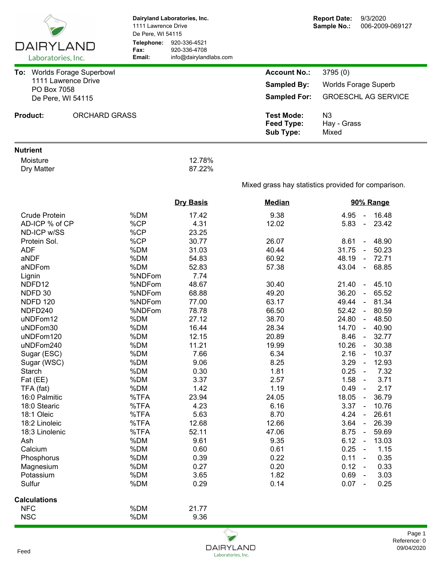| DAIRYLAND                               | Dairyland Laboratories, Inc.<br>1111 Lawrence Drive<br>De Pere, WI 54115<br>Telephone:<br>920-336-4521 |                                        |                                                     | <b>Report Date:</b><br>9/3/2020<br>Sample No.:<br>006-2009-069127 |  |  |  |
|-----------------------------------------|--------------------------------------------------------------------------------------------------------|----------------------------------------|-----------------------------------------------------|-------------------------------------------------------------------|--|--|--|
| Laboratories, Inc.                      | Fax:<br>Email:                                                                                         | 920-336-4708<br>info@dairylandlabs.com |                                                     |                                                                   |  |  |  |
| To: Worlds Forage Superbowl             |                                                                                                        |                                        | <b>Account No.:</b>                                 | 3795(0)                                                           |  |  |  |
| 1111 Lawrence Drive                     |                                                                                                        |                                        | <b>Sampled By:</b>                                  | <b>Worlds Forage Superb</b>                                       |  |  |  |
| PO Box 7058                             |                                                                                                        |                                        | <b>GROESCHL AG SERVICE</b><br><b>Sampled For:</b>   |                                                                   |  |  |  |
| De Pere, WI 54115                       |                                                                                                        |                                        |                                                     |                                                                   |  |  |  |
| <b>Product:</b><br><b>ORCHARD GRASS</b> |                                                                                                        |                                        | <b>Test Mode:</b><br><b>Feed Type:</b><br>Sub Type: | N3<br>Hay - Grass<br>Mixed                                        |  |  |  |
| <b>Nutrient</b>                         |                                                                                                        |                                        |                                                     |                                                                   |  |  |  |
| Moisture                                |                                                                                                        | 12.78%                                 |                                                     |                                                                   |  |  |  |
| Dry Matter                              |                                                                                                        | 87.22%                                 |                                                     |                                                                   |  |  |  |
|                                         |                                                                                                        |                                        |                                                     | Mixed grass hay statistics provided for comparison.               |  |  |  |
|                                         |                                                                                                        | <b>Dry Basis</b>                       | <b>Median</b>                                       | 90% Range                                                         |  |  |  |
| <b>Crude Protein</b>                    | %DM                                                                                                    | 17.42                                  | 9.38                                                | 16.48<br>4.95<br>$\sim$                                           |  |  |  |
| AD-ICP % of CP                          | %CP                                                                                                    | 4.31                                   | 12.02                                               | 23.42<br>5.83<br>$\sim$                                           |  |  |  |
| ND-ICP w/SS                             | %CP                                                                                                    | 23.25                                  |                                                     |                                                                   |  |  |  |
| Protein Sol.                            | %CP                                                                                                    | 30.77                                  | 26.07                                               | 8.61<br>$-48.90$<br>31.75                                         |  |  |  |
| <b>ADF</b>                              | %DM<br>%DM                                                                                             | 31.03                                  | 40.44<br>60.92                                      | 50.23<br>$\sim$<br>72.71<br>48.19<br>$\sim$                       |  |  |  |
| aNDF<br>aNDFom                          | %DM                                                                                                    | 54.83<br>52.83                         | 57.38                                               | 68.85<br>43.04<br>$\blacksquare$                                  |  |  |  |
|                                         | %NDFom                                                                                                 | 7.74                                   |                                                     |                                                                   |  |  |  |
| Lignin<br>NDFD12                        | %NDFom                                                                                                 | 48.67                                  | 30.40                                               | 21.40<br>$-45.10$                                                 |  |  |  |
| NDFD 30                                 | %NDFom                                                                                                 | 68.88                                  | 49.20                                               | 36.20<br>65.52<br>$\sim$                                          |  |  |  |
| <b>NDFD 120</b>                         | %NDFom                                                                                                 | 77.00                                  | 63.17                                               | 49.44<br>81.34<br>$\sim$                                          |  |  |  |
| NDFD240                                 | %NDFom                                                                                                 | 78.78                                  | 66.50                                               | 52.42<br>80.59<br>$\sim$                                          |  |  |  |
| uNDFom12                                | %DM                                                                                                    | 27.12                                  | 38.70                                               | 24.80<br>$-48.50$                                                 |  |  |  |
| uNDFom30                                | %DM                                                                                                    | 16.44                                  | 28.34                                               | 14.70<br>$-40.90$                                                 |  |  |  |
| uNDFom120                               | %DM                                                                                                    | 12.15                                  | 20.89                                               | 8.46<br>32.77<br>$\sim$ $\sim$                                    |  |  |  |
| uNDFom240                               | %DM                                                                                                    | 11.21                                  | 19.99                                               | 10.26<br>$\sim$<br>30.38                                          |  |  |  |
| Sugar (ESC)                             | %DM                                                                                                    | 7.66                                   | 6.34                                                | 2.16<br>10.37<br>$\blacksquare$                                   |  |  |  |
| Sugar (WSC)                             | %DM                                                                                                    | 9.06                                   | 8.25                                                | 3.29<br>12.93<br>$\blacksquare$                                   |  |  |  |
| Starch                                  | %DM                                                                                                    | 0.30                                   | 1.81                                                | 0.25<br>7.32<br>$\blacksquare$                                    |  |  |  |
| Fat (EE)                                | %DM                                                                                                    | 3.37                                   | 2.57                                                | 1.58<br>3.71<br>$\blacksquare$                                    |  |  |  |
| TFA (fat)                               | %DM                                                                                                    | 1.42                                   | 1.19                                                | 0.49<br>2.17<br>$\blacksquare$                                    |  |  |  |
| 16:0 Palmitic                           | %TFA                                                                                                   | 23.94                                  | 24.05                                               | 18.05<br>36.79<br>$\sim$                                          |  |  |  |
| 18:0 Stearic                            | %TFA                                                                                                   | 4.23                                   | 6.16                                                | 3.37<br>10.76<br>$\sim$                                           |  |  |  |
| 18:1 Oleic                              | %TFA                                                                                                   | 5.63                                   | 8.70                                                | 4.24<br>26.61<br>$\blacksquare$                                   |  |  |  |
| 18:2 Linoleic                           | %TFA                                                                                                   | 12.68                                  | 12.66                                               | 3.64<br>26.39<br>$\sim$                                           |  |  |  |
| 18:3 Linolenic                          | %TFA                                                                                                   | 52.11                                  | 47.06                                               | 8.75<br>59.69<br>$\sim$                                           |  |  |  |
| Ash                                     | %DM                                                                                                    | 9.61                                   | 9.35                                                | 6.12<br>13.03<br>$\sim$                                           |  |  |  |
| Calcium                                 | %DM                                                                                                    | 0.60                                   | 0.61                                                | 0.25<br>1.15<br>$\blacksquare$                                    |  |  |  |
| Phosphorus                              | %DM                                                                                                    | 0.39                                   | 0.22                                                | 0.11<br>0.35<br>$\blacksquare$                                    |  |  |  |
| Magnesium                               | %DM                                                                                                    | 0.27                                   | 0.20                                                | 0.12<br>0.33<br>$\blacksquare$                                    |  |  |  |
| Potassium                               | %DM                                                                                                    | 3.65                                   | 1.82                                                | 0.69<br>3.03<br>$\blacksquare$                                    |  |  |  |
| Sulfur                                  | %DM                                                                                                    | 0.29                                   | 0.14                                                | 0.07<br>0.25<br>$\overline{\phantom{a}}$                          |  |  |  |
| <b>Calculations</b>                     |                                                                                                        |                                        |                                                     |                                                                   |  |  |  |
| <b>NFC</b>                              | %DM                                                                                                    | 21.77                                  |                                                     |                                                                   |  |  |  |
| <b>NSC</b>                              | %DM                                                                                                    | 9.36                                   |                                                     |                                                                   |  |  |  |